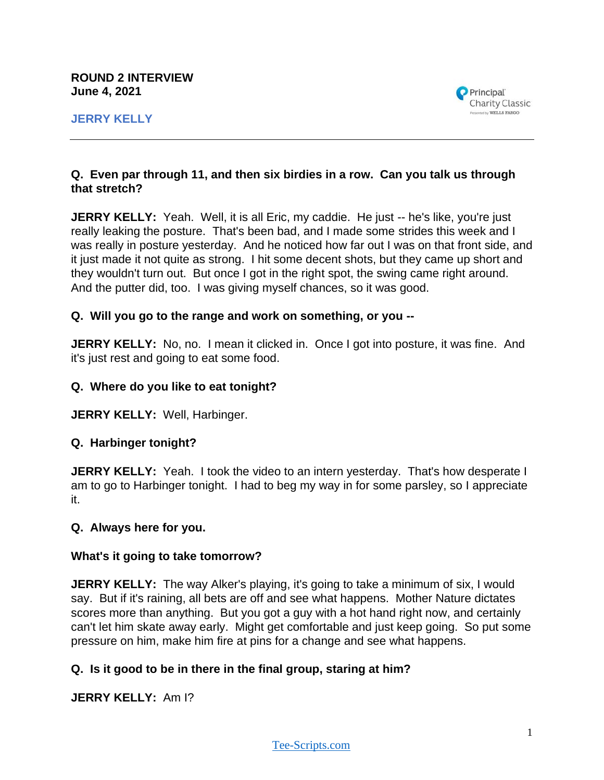

## **Q. Even par through 11, and then six birdies in a row. Can you talk us through that stretch?**

**JERRY KELLY:** Yeah. Well, it is all Eric, my caddie. He just -- he's like, you're just really leaking the posture. That's been bad, and I made some strides this week and I was really in posture yesterday. And he noticed how far out I was on that front side, and it just made it not quite as strong. I hit some decent shots, but they came up short and they wouldn't turn out. But once I got in the right spot, the swing came right around. And the putter did, too. I was giving myself chances, so it was good.

### **Q. Will you go to the range and work on something, or you --**

**JERRY KELLY:** No, no. I mean it clicked in. Once I got into posture, it was fine. And it's just rest and going to eat some food.

### **Q. Where do you like to eat tonight?**

**JERRY KELLY:** Well, Harbinger.

## **Q. Harbinger tonight?**

**JERRY KELLY:** Yeah. I took the video to an intern yesterday. That's how desperate I am to go to Harbinger tonight. I had to beg my way in for some parsley, so I appreciate it.

#### **Q. Always here for you.**

#### **What's it going to take tomorrow?**

**JERRY KELLY:** The way Alker's playing, it's going to take a minimum of six, I would say. But if it's raining, all bets are off and see what happens. Mother Nature dictates scores more than anything. But you got a guy with a hot hand right now, and certainly can't let him skate away early. Might get comfortable and just keep going. So put some pressure on him, make him fire at pins for a change and see what happens.

## **Q. Is it good to be in there in the final group, staring at him?**

**JERRY KELLY:** Am I?